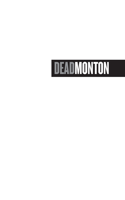# DEADMONTON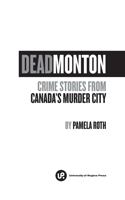# DEADMONTON CRIME STORIES FROM CANADA'S MURDER CITY

# BY PAMELA ROTH



**University of Regina Press**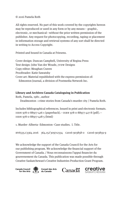#### © 2016 Pamela Roth

All rights reserved. No part of this work covered by the copyrights hereon may be reproduced or used in any form or by any means— graphic, electronic, or mechanical—without the prior written permission of the publisher. Any request for photocopying, recording, taping or placement in information storage and retrieval systems of any sort shall be directed in writing to Access Copyright.

Printed and bound in Canada at Friesens.

Cover design: Duncan Campbell, University of Regina Press Text design: John Van der Woude, JVDW Designs Copy editor: Meaghan Craven Proofreader: Katie Sawatzky Cover art: Material republished with the express permission of: Edmonton Journal, a division of Postmedia Network Inc.

#### **Library and Archives Canada Cataloguing in Publication**

Roth, Pamela, 1981-, author

Deadmonton : crime stories from Canada's murder city / Pamela Roth.

Includes bibliographical references. Issued in print and electronic formats. isbn 978-0-88977-426-1 (paperback).—isbn 978-0-88977-427-8 (pdf). isbn 978-0-88977-428-5 (html)

1. Murder--Alberta--Edmonton--Case studies. I. Title.

hv6535.c33e4 2016 364.152'309712334 c2016-903858-0  c2016-903859-9

We acknowledge the support of the Canada Council for the Arts for our publishing program. We acknowledge the financial support of the Government of Canada. / Nous reconnaissons l'appui financier du gouvernement du Canada. This publication was made possible through Creative Saskatchewan's Creative Industries Production Grant Program.





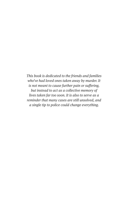This book is dedicated to the friends and families who've had loved ones taken away by murder. It is not meant to cause further pain or suffering, but instead to act as a collective memory of lives taken far too soon. It is also to serve as a reminder that many cases are still unsolved, and a single tip to police could change everything.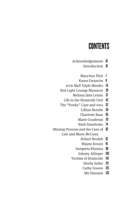### **CONTENTS**

- Acknowledgements **IX** 
	- Introduction XI
	- MaryAnn Plett | 1
	- Karen Ewanciw 8
- hub Mall Triple Murder 16
- Red Light Lounge Massacre 28
	- Melissa Jane Letain 37
	- Life in the Homicide Unit 43
- The "Punky" Case and DNA 52
	- Lillian Berube 59
	- Charlotte Baas 65
	- Marie Goudreau 70
	- Barb Danelesko 74
- Missing Persons and the Case of Lyle and Marie McCann 82
	- Robert Brodyk 87
		- Wayne Kreutz 91
	- Sangeeta Khanna 96
		- Johnny Altinger 103
	- Victims of Homicide 116
		- Sheila Salter |21
		- Cathy Greeve 125
			- Mir Hussain **133**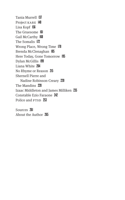Tania Murrell 137 Project KARE 148 Lisa Kopf 156 The Gruesome **60** Gail McCarthy 168 The Somalis 172 Wrong Place, Wrong Time 178 Brenda McClenaghan 185 Here Today, Gone Tomorrow 195 Dylan McGillis 199 Liana White 204 No Rhyme or Reason 215 Shernell Pierre and Nadine Robinson-Creary 220 The Mandins 228 Izaac Middleton and James Milliken 235 Constable Ezio Faraone 242 Police and PTSD 253

Sources 261 About the Author 265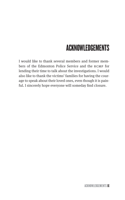### ACKNOWLEDGEMENTS

I would like to thank several members and former members of the Edmonton Police Service and the rcmp for lending their time to talk about the investigations. I would also like to thank the victims' families for having the courage to speak about their loved ones, even though it is painful. I sincerely hope everyone will someday find closure.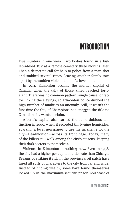#### INTRODUCTION

Five murders in one week. Two bodies found in a bullet-riddled suv at a remote cemetery three months later. Then a desperate call for help to police from a man shot and stabbed several times, leaving another family torn apart by the sudden violent death of a loved one.

In 2011, Edmonton became the murder capital of Canada, when the tally of those killed reached fortyeight. There was no common pattern, single cause, or factor linking the slayings, so Edmonton police dubbed the high number of fatalities an anomaly. Still, it wasn't the first time the City of Champions had snagged the title no Canadian city wants to claim.

Alberta's capital also earned the same dubious distinction in 2005, when it recorded thirty-nine homicides, sparking a local newspaper to use the nickname for the city — Deadmonton — across its front page. Today, many of the killers still walk among the city's citizens, keeping their dark secrets to themselves.

Violence in Edmonton is nothing new. Even in 1938, the city had a higher per capita murder rate than Chicago. Dreams of striking it rich in the province's oil patch have lured all sorts of characters to the city from far and wide. Instead of finding wealth, some have found themselves locked up in the maximum-security prison northeast of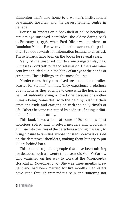Edmonton that's also home to a women's institution, a psychiatric hospital, and the largest remand centre in Canada.

Housed in binders on a bookshelf at police headquarters are 190 unsolved homicides, the oldest dating back to February 11, 1938, when Fred Oliver was murdered at Dominion Motors. For twenty-nine of these cases, the police offer \$40,000 rewards for information leading to an arrest. These rewards have been on the books for several years.

Many of the unsolved murders are gangster slayings; witnesses won't talk for fear of retaliation. Others are innocent lives snuffed out in the blink of an eye at the hands of strangers. These killings are the most chilling.

Murder cases that go unsolved are an emotional rollercoaster for victims' families. They experience a plethora of emotions as they struggle to cope with the horrendous pain of suddenly losing a loved one because of another human being. Some deal with the pain by pushing their emotions aside and carrying on with the daily rituals of life. Others become consumed by sadness, finding it difficult to function in society.

This book takes a look at some of Edmonton's most notorious solved and unsolved murders and provides a glimpse into the lives of the detectives working tirelessly to bring closure to families, whose constant sorrow is carried on the detectives' shoulders, making them hungry to put killers behind bars.

This book also profiles people that have been missing for decades, such as twenty-three-year-old Gail McCarthy, who vanished on her way to work at the Misericordia Hospital in November 1971. She was three months pregnant and had been married for five months. Her sisters have gone through tremendous pain and suffering not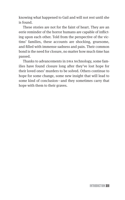knowing what happened to Gail and will not rest until she is found.

These stories are not for the faint of heart. They are an eerie reminder of the horror humans are capable of inflicting upon each other. Told from the perspective of the victims' families, these accounts are shocking, gruesome, and filled with immense sadness and pain. Their common bond is the need for closure, no matter how much time has passed.

Thanks to advancements in DNA technology, some families have found closure long after they've lost hope for their loved ones' murders to be solved. Others continue to hope for some change, some new insight that will lead to some kind of conclusion—and they sometimes carry that hope with them to their graves.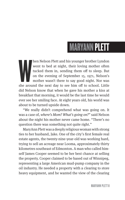## MARYANN PLETT

hen Nelson Plett and his younger brother Lyndon<br>went to bed at night, their loving mother often<br>tucked them in, sending them off to sleep. But<br>on the evening of September 15, 1971, Nelson's<br>mother wasn't there to say good hen Nelson Plett and his younger brother Lyndon went to bed at night, their loving mother often tucked them in, sending them off to sleep. But on the evening of September 15, 1971, Nelson's mother wasn't there to say good night. Nor was did Nelson know that when he gave his mother a kiss at breakfast that morning, it would be the last time he would ever see her smiling face. At eight years old, his world was about to be turned upside down.

"We really didn't comprehend what was going on. It was a case of, where's Mom? What's going on?" said Nelson about the night his mother never came home. "There's no question there was something not quite right."

MaryAnn Plett was a deeply religious woman with strong ties to her husband, Jake. One of the city's first female real estate agents, the twenty-nine-year-old was working hard, trying to sell an acreage near Looma, approximately thirty kilometres southeast of Edmonton. A man who called himself James Cooper seemed to be her best chance at selling the property. Cooper claimed to be based out of Winnipeg, representing a large American mud-pump company in the oil industry. He needed a property with a clearing to store heavy equipment, and he wanted the view of the clearing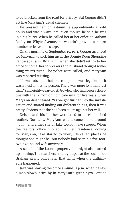to be blocked from the road for privacy. But Cooper didn't act like MaryAnn's usual clientele.

He pressed her for last-minute appointments at odd hours and was always late, even though he said he was in a big hurry. When he called her at her office at Graham Realty on Whyte Avenue, he wouldn't provide a return number or leave a message.

On the morning of September 15, 1971, Cooper arranged for MaryAnn to pick him up at the Bonnie Doon Shopping Centre at 11 a.m. By 5 p.m., when she didn't return to her office or home, her co-workers and husband thought something wasn't right. The police were called, and MaryAnn was reported missing.

"It was obvious that the complaint was legitimate. It wasn't just a missing person. There was more to it than just that," said eighty-year-old Al Gowler, who had been a detective with the Edmonton homicide unit for five years when MaryAnn disappeared. "As we got further into the investigation and started finding out different things, then it was pretty obvious that she had been taken against her will."

Nelson and his brother were used to an established routine. Normally, MaryAnn would come home around 5 p.m., and either she or Jake would make supper. When the realtors' office phoned the Plett residence looking for MaryAnn, Jake started to worry. He called places he thought she might be, but nobody had seen his five-foottwo, 120-pound wife anywhere.

A search of the Looma property that night also turned up nothing. The searchers had regrouped at the south-side Graham Realty office later that night when the unthinkable happened.

Jake was leaving the office around 11 p.m. when he saw a man slowly drive by in MaryAnn's green 1970 Pontiac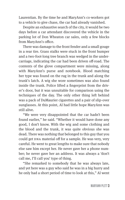Laurentian. By the time he and MaryAnn's co-workers got to a vehicle to give chase, the car had already vanished.

Despite an exhaustive search of the city, it would be two days before a car attendant discovered the vehicle in the parking lot of Don Wheaton car sales, only a few blocks from MaryAnn's office.

There was damage to the front fender and a small gouge in a rear tire. Grass stalks were stuck in the front bumper and a two-foot-long tree branch was wedged in the undercarriage, indicating the car had been driven off-road. The contents of the glove compartment were missing, along with MaryAnn's purse and notebook. Blood matching her type was found on the rug in the trunk and along the trunk's latch. A wig she wore sometimes was also found inside the trunk. Police lifted a fingerprint from the driver's door, but it was unsuitable for comparison using the techniques of the day. The only other thing left behind was a pack of DuMaurier cigarettes and a pair of slip-over sunglasses. At this point, Al had little hope MaryAnn was still alive.

"We were very disappointed that the car hadn't been found earlier," he said. "Whether it would have done any good, I don't know. With the wig and some clothing and the blood and the trunk, it was quite obvious she was dead. There was nothing that belonged to this guy that you could get DNA material off for a sample. He was very, very careful. He went to great lengths to make sure that nobody else saw him except her. He never gave her a phone number; he never gave her an address. It was always a 'don't call me, I'll call you' type of thing.

"She remarked to somebody that he was always late, and yet here was a guy who said he was in a big hurry and he only had a short period of time to look at this," Al went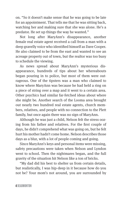on. "So it doesn't make sense that he was going to be late for an appointment. That tells me that he was sitting back, watching her and making sure that she was alone. He's a predator. He set up things the way he wanted."

Not long after MaryAnn's disappearance, another female real estate agent received a call from a man with a deep gravelly voice who identified himself as Dave Cooper. He also claimed to be from the east and wanted to see an acreage property out of town, but the realtor was too busy to schedule the viewing.

As news spread about MaryAnn's mysterious disappearance, hundreds of tips about her whereabouts began pouring in to police, but most of them were outrageous. One of the tipsters was a man who claimed to know where MaryAnn was because he had held a ring on a piece of string over a map and it went to a certain area. Other psychics had similar far-fetched ideas about where she might be. Another search of the Looma area brought out nearly two hundred real estate agents, church members, relatives, and people with no connection to the Plett family, but once again there was no sign of MaryAnn.

Although he was just a child, Nelson felt the stress oozing from his father and relatives. For the first couple of days, he didn't comprehend what was going on, but he felt hurt his mother hadn't come home. Nelson describes those days as a blur, with a lot of people coming and going.

Since MaryAnn's keys and personal items were missing, safety precautions were taken when Nelson and Lyndon went to school. Then the nightmares began, and the full gravity of the situation hit Nelson like a ton of bricks.

"My dad did his best to shelter us from certain details, but realistically, I was hip-deep in it because how do you not be? Your mom's not around, you are surrounded by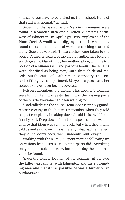strangers, you have to be picked up from school. None of that stuff was normal," he said.

Seven months passed before MaryAnn's remains were found in a wooded area one hundred kilometres northwest of Edmonton. In April 1972, two employees of the Pinto Creek Sawmill were digging a trench when they found the tattered remains of women's clothing scattered along Goose Lake Road. Those clothes were taken to the police. A further search of the area by authorities found a watch given to MaryAnn by her mother, along with the top portion of a human skull and part of a femur. The remains were identified as being MaryAnn's through dental records, but the cause of death remains a mystery. The contents of the glove compartment, MaryAnn's purse, and her notebook have never been recovered.

Nelson remembers the moment his mother's remains were found like it was yesterday. It was the missing piece of the puzzle everyone had been waiting for.

"Dad called us in the house. I remember seeing my grandmother coming to the house. I remember when they told us, just completely breaking down," said Nelson. "It's the finality of it. Deep down, I kind of suspected there was no chance that Mom was coming back, but when they finally told us and said, okay, this is literally what had happened, they found Mom's body, then I suddenly went, okay."

Working with the RCMP, Al spent months following up on various leads. His rcmp counterparts did everything imaginable to solve the case, but to this day the killer has yet to be found.

Given the remote location of the remains, Al believes the killer was familiar with Edmonton and the surrounding area and that it was possible he was a hunter or an outdoorsman.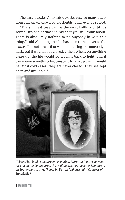The case puzzles Al to this day. Because so many questions remain unanswered, he doubts it will ever be solved.

"The simplest case can be the most baffling until it's solved. It's one of those things that you still think about. There is absolutely nothing to tie anybody in with this thing," said Al, noting the file has been turned over to the rcmp. "It's not a case that would be sitting on somebody's desk, but it wouldn't be closed, either. Whenever anything came up, the file would be brought back to light, and if there were something legitimate to follow up then it would be. Most cold cases, they are never closed. They are kept open and available."



Nelson Plett holds a picture of his mother, MaryAnn Plett, who went missing in the Looma area, thirty kilometres southeast of Edmonton, on September 15, 1971. (Photo by Darren Makowichuk / Courtesy of Sun Media)

6 DEADMONTON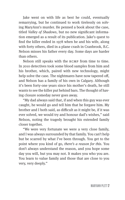Jake went on with life as best he could, eventually remarrying, but he continued to work tirelessly on solving MaryAnn's murder. He penned a book about the case, titled Valley of Shadows, but no new significant information emerged as a result of its publication. Jake's quest to find the killer ended in 1978 when he and his wife, along with forty others, died in a plane crash in Cranbrook, B.C. Nelson misses his father every day. Some days are harder than others.

Nelson still speaks with the rcmp from time to time. In 2010 detectives took some blood samples from him and his brother, which, paired with new technology, might help solve the case. The nightmares have now tapered off, and Nelson has a family of his own in Calgary. Although it's been forty-one years since his mother's death, he still wants to see the killer put behind bars. The thought of having closure someday never goes away.

"My dad always said that, if and when this guy was ever caught, he would go and tell him that he forgave him. My brother and I both said, as difficult as it might be, if it was ever solved, we would try and honour dad's wishes," said Nelson, noting the tragedy brought his extended family closer together.

"We were very fortunate we were a very close family, and I was always surrounded by that family. You can't help but be scarred by what I've been through. You get to the point where you kind of go, there's a reason for this. You don't always understand the reason, and you hope some day you will, but you may not. It makes you who you are. You learn to value family and those that are close to you very, very deeply."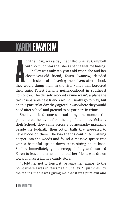## KAREN EWANCIW

pril 23, 1975, was a day that filled Shelley Campbell<br>with so much fear that she's spent a lifetime hiding.<br>Shelley was only ten years old when she and her<br>eleven-year-old friend, Karen Ewanciw, decided<br>that instead of del pril 23, 1975, was a day that filled Shelley Campbell with so much fear that she's spent a lifetime hiding. Shelley was only ten years old when she and her eleven-year-old friend, Karen Ewanciw, decided that instead of delivering their flyers after school, their quiet Forest Heights neighbourhood in southeast Edmonton. The densely wooded ravine wasn't a place the two inseparable best friends would usually go to play, but on this particular day they agreed it was where they would head after school and pretend to be partners in crime.

Shelley noticed some unusual things the moment the pair entered the ravine from the top of the hill by McNally High School. They came across a pornography magazine beside the footpath, then cotton balls that appeared to have blood on them. The two friends continued walking deeper into the woods and found a massive spruce tree with a beautiful upside down cross sitting at its base. Shelley immediately got a creepy feeling and warned Karen to leave the cross alone, but her friend was drawn toward it like a kid in a candy store.

"I told her not to touch it, begging her, almost to the point where I was in tears," said Shelley. "I just knew by the feeling that it was giving me that it was pure evil and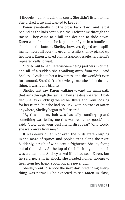[I thought], don't touch this cross. She didn't listen to me. She picked it up and wanted to keep it."

Karen eventually put the cross back down and left it behind as the kids continued their adventure through the ravine. They came to a hill and decided to slide down. Karen went first, and she kept all her flyers in a bundle as she slid to the bottom. Shelley, however, tipped over, spilling her flyers all over the ground. While Shelley picked up her flyers, Karen walked off in a trance, despite her friend's repeated calls to wait.

"I cried out to her. Here we were being partners in crime, and all of a sudden she's walking away from me?" said Shelley. "I called to her a few times, and she wouldn't even turn around. She didn't acknowledge me; she didn't do anything. It was really bizarre."

Shelley last saw Karen walking toward the main path that runs through the ravine. Then she disappeared. A baffled Shelley quickly gathered her flyers and went looking for her friend, but she had no luck. With no trace of Karen anywhere, Shelley began to feel scared.

"By this time my hair was basically standing up and something was telling me this was really not good," she said. "How does your best friend disappear? Why would she walk away from me?"

It was eerily quiet. Not even the birds were chirping in the maze of spruce and poplar trees along the river. Suddenly, a rush of wind sent a frightened Shelley flying out of the ravine. At the top of the hill sitting on a bench was a classmate. Shelley asked if he had seen Karen, but he said no. Still in shock, she headed home, hoping to hear from her friend soon, but she never did.

Shelley went to school the next day, pretending everything was normal. She expected to see Karen in class,